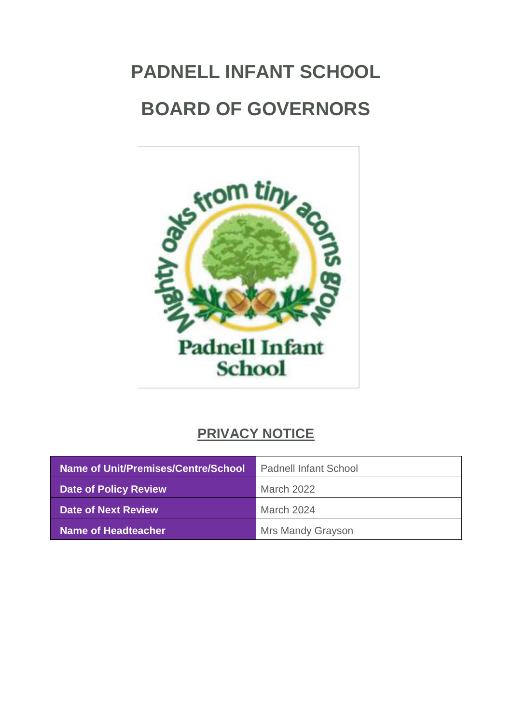# **PADNELL INFANT SCHOOL BOARD OF GOVERNORS**



## **PRIVACY NOTICE**

| <b>Name of Unit/Premises/Centre/School</b> | <b>Padnell Infant School</b> |
|--------------------------------------------|------------------------------|
| <b>Date of Policy Review</b>               | March 2022                   |
| Date of Next Review                        | March 2024                   |
| <b>Name of Headteacher</b>                 | Mrs Mandy Grayson            |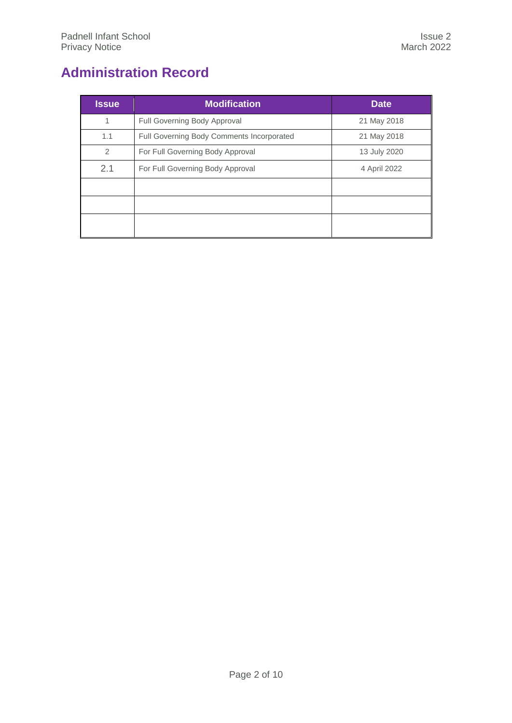## <span id="page-1-0"></span>**Administration Record**

| <b>Issue</b> | <b>Modification</b>                       | <b>Date</b>  |
|--------------|-------------------------------------------|--------------|
| 1            | Full Governing Body Approval              | 21 May 2018  |
| 1.1          | Full Governing Body Comments Incorporated | 21 May 2018  |
| 2            | For Full Governing Body Approval          | 13 July 2020 |
| 2.1          | For Full Governing Body Approval          | 4 April 2022 |
|              |                                           |              |
|              |                                           |              |
|              |                                           |              |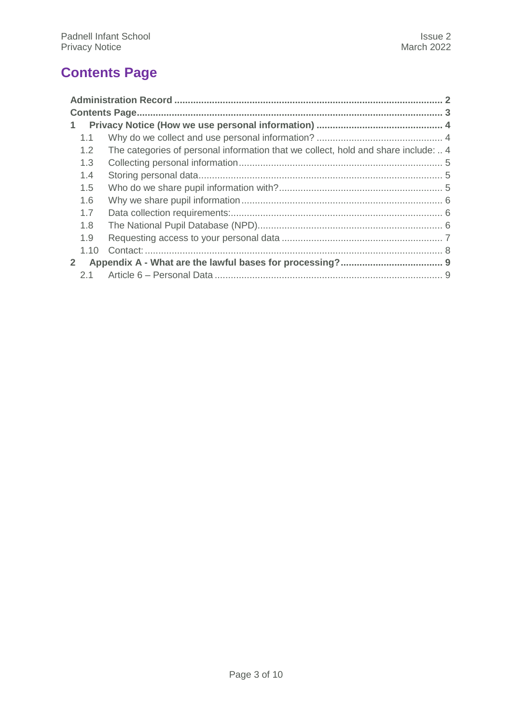## <span id="page-2-0"></span>**Contents Page**

| $\mathbf{1}$   |      |                                                                                    |  |
|----------------|------|------------------------------------------------------------------------------------|--|
|                | 1.1  |                                                                                    |  |
|                | 1.2  | The categories of personal information that we collect, hold and share include:  4 |  |
|                | 1.3  |                                                                                    |  |
|                | 1.4  |                                                                                    |  |
|                | 1.5  |                                                                                    |  |
|                | 1.6  |                                                                                    |  |
|                | 1.7  |                                                                                    |  |
|                | 1.8  |                                                                                    |  |
|                | 1.9  |                                                                                    |  |
|                | 1.10 |                                                                                    |  |
| 2 <sup>1</sup> |      |                                                                                    |  |
|                | 2.1  |                                                                                    |  |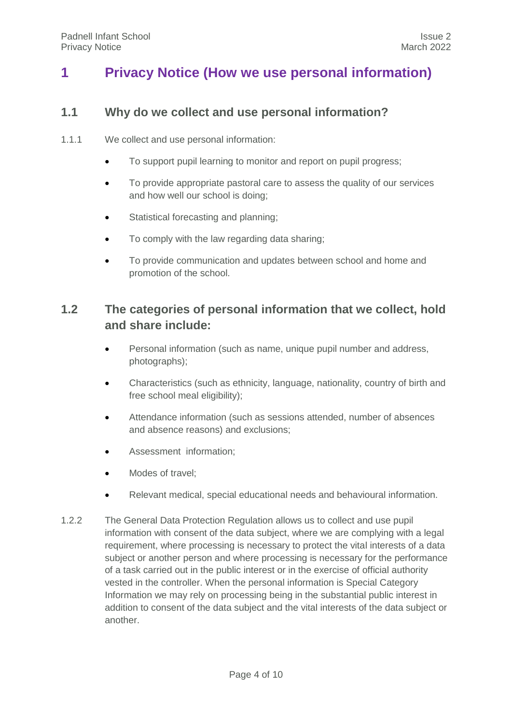## <span id="page-3-1"></span><span id="page-3-0"></span>**1 Privacy Notice (How we use personal information)**

#### **1.1 Why do we collect and use personal information?**

- 1.1.1 We collect and use personal information:
	- To support pupil learning to monitor and report on pupil progress;
	- To provide appropriate pastoral care to assess the quality of our services and how well our school is doing;
	- Statistical forecasting and planning:
	- To comply with the law regarding data sharing;
	- To provide communication and updates between school and home and promotion of the school.

### <span id="page-3-2"></span>**1.2 The categories of personal information that we collect, hold and share include:**

- Personal information (such as name, unique pupil number and address, photographs);
- Characteristics (such as ethnicity, language, nationality, country of birth and free school meal eligibility);
- Attendance information (such as sessions attended, number of absences and absence reasons) and exclusions;
- Assessment information;
- Modes of travel;
- Relevant medical, special educational needs and behavioural information.
- 1.2.2 The General Data Protection Regulation allows us to collect and use pupil information with consent of the data subject, where we are complying with a legal requirement, where processing is necessary to protect the vital interests of a data subject or another person and where processing is necessary for the performance of a task carried out in the public interest or in the exercise of official authority vested in the controller. When the personal information is Special Category Information we may rely on processing being in the substantial public interest in addition to consent of the data subject and the vital interests of the data subject or another.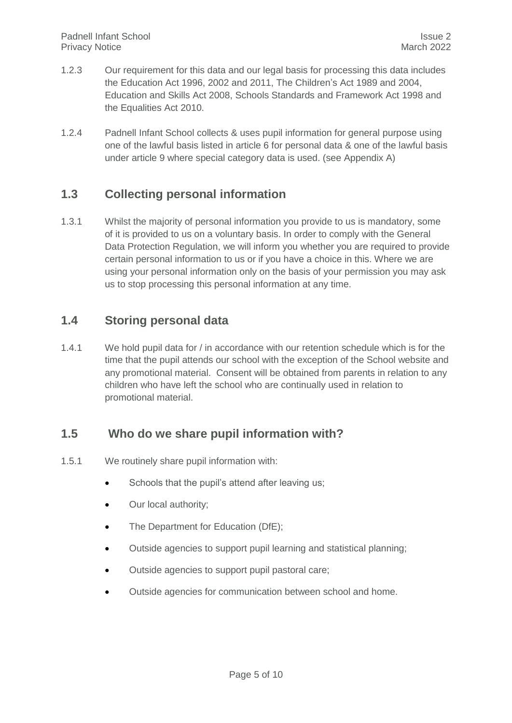- 1.2.3 Our requirement for this data and our legal basis for processing this data includes the Education Act 1996, 2002 and 2011, The Children's Act 1989 and 2004, Education and Skills Act 2008, Schools Standards and Framework Act 1998 and the Equalities Act 2010.
- 1.2.4 Padnell Infant School collects & uses pupil information for general purpose using one of the lawful basis listed in article 6 for personal data & one of the lawful basis under article 9 where special category data is used. (see Appendix A)

#### <span id="page-4-0"></span>**1.3 Collecting personal information**

1.3.1 Whilst the majority of personal information you provide to us is mandatory, some of it is provided to us on a voluntary basis. In order to comply with the General Data Protection Regulation, we will inform you whether you are required to provide certain personal information to us or if you have a choice in this. Where we are using your personal information only on the basis of your permission you may ask us to stop processing this personal information at any time.

#### <span id="page-4-1"></span>**1.4 Storing personal data**

1.4.1 We hold pupil data for / in accordance with our retention schedule which is for the time that the pupil attends our school with the exception of the School website and any promotional material. Consent will be obtained from parents in relation to any children who have left the school who are continually used in relation to promotional material.

#### <span id="page-4-2"></span>**1.5 Who do we share pupil information with?**

- 1.5.1 We routinely share pupil information with:
	- Schools that the pupil's attend after leaving us;
	- Our local authority;
	- The Department for Education (DfE);
	- Outside agencies to support pupil learning and statistical planning;
	- Outside agencies to support pupil pastoral care;
	- Outside agencies for communication between school and home.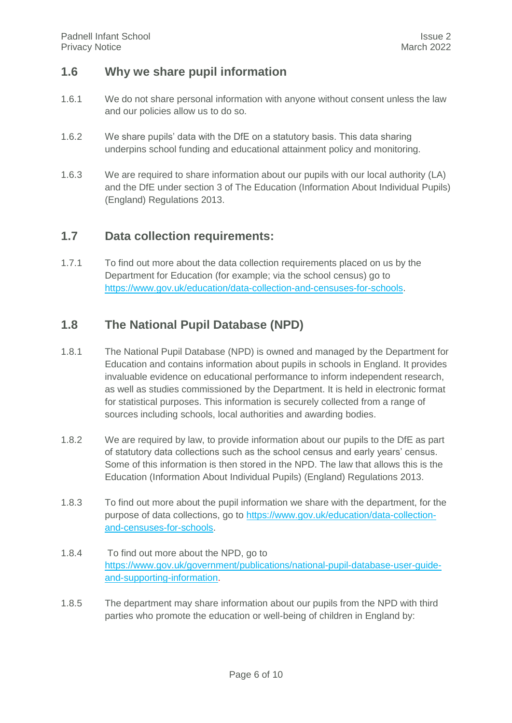#### <span id="page-5-0"></span>**1.6 Why we share pupil information**

- 1.6.1 We do not share personal information with anyone without consent unless the law and our policies allow us to do so.
- 1.6.2 We share pupils' data with the DfE on a statutory basis. This data sharing underpins school funding and educational attainment policy and monitoring.
- 1.6.3 We are required to share information about our pupils with our local authority (LA) and the DfE under section 3 of The Education (Information About Individual Pupils) (England) Regulations 2013.

#### <span id="page-5-1"></span>**1.7 Data collection requirements:**

1.7.1 To find out more about the data collection requirements placed on us by the Department for Education (for example; via the school census) go to [https://www.gov.uk/education/data-collection-and-censuses-for-schools.](https://www.gov.uk/education/data-collection-and-censuses-for-schools)

#### <span id="page-5-2"></span>**1.8 The National Pupil Database (NPD)**

- 1.8.1 The National Pupil Database (NPD) is owned and managed by the Department for Education and contains information about pupils in schools in England. It provides invaluable evidence on educational performance to inform independent research, as well as studies commissioned by the Department. It is held in electronic format for statistical purposes. This information is securely collected from a range of sources including schools, local authorities and awarding bodies.
- 1.8.2 We are required by law, to provide information about our pupils to the DfE as part of statutory data collections such as the school census and early years' census. Some of this information is then stored in the NPD. The law that allows this is the Education (Information About Individual Pupils) (England) Regulations 2013.
- 1.8.3 To find out more about the pupil information we share with the department, for the purpose of data collections, go to [https://www.gov.uk/education/data-collection](https://www.gov.uk/education/data-collection-and-censuses-for-schools)[and-censuses-for-schools.](https://www.gov.uk/education/data-collection-and-censuses-for-schools)
- 1.8.4 To find out more about the NPD, go to [https://www.gov.uk/government/publications/national-pupil-database-user-guide](https://www.gov.uk/government/publications/national-pupil-database-user-guide-and-supporting-information)[and-supporting-information.](https://www.gov.uk/government/publications/national-pupil-database-user-guide-and-supporting-information)
- 1.8.5 The department may share information about our pupils from the NPD with third parties who promote the education or well-being of children in England by: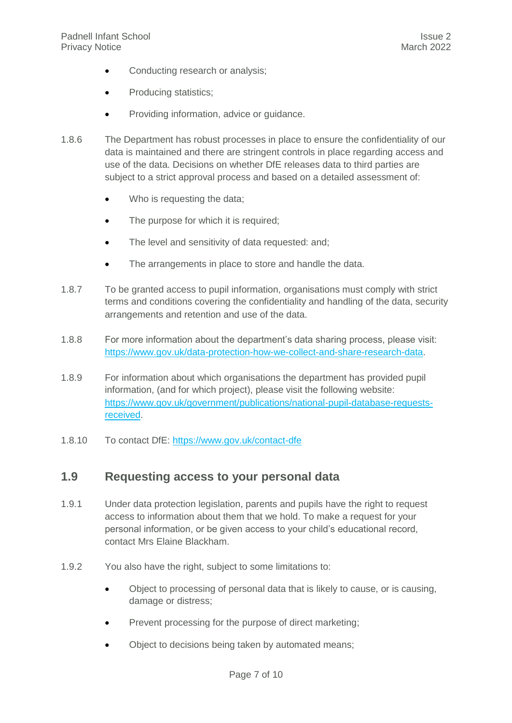- Conducting research or analysis;
- Producing statistics;
- Providing information, advice or guidance.
- 1.8.6 The Department has robust processes in place to ensure the confidentiality of our data is maintained and there are stringent controls in place regarding access and use of the data. Decisions on whether DfE releases data to third parties are subject to a strict approval process and based on a detailed assessment of:
	- Who is requesting the data;
	- The purpose for which it is required;
	- The level and sensitivity of data requested: and:
	- The arrangements in place to store and handle the data.
- 1.8.7 To be granted access to pupil information, organisations must comply with strict terms and conditions covering the confidentiality and handling of the data, security arrangements and retention and use of the data.
- 1.8.8 For more information about the department's data sharing process, please visit: [https://www.gov.uk/data-protection-how-we-collect-and-share-research-data.](https://www.gov.uk/data-protection-how-we-collect-and-share-research-data)
- 1.8.9 For information about which organisations the department has provided pupil information, (and for which project), please visit the following website: [https://www.gov.uk/government/publications/national-pupil-database-requests](https://www.gov.uk/government/publications/national-pupil-database-requests-received)[received.](https://www.gov.uk/government/publications/national-pupil-database-requests-received)
- <span id="page-6-0"></span>1.8.10 To contact DfE:<https://www.gov.uk/contact-dfe>

#### **1.9 Requesting access to your personal data**

- 1.9.1 Under data protection legislation, parents and pupils have the right to request access to information about them that we hold. To make a request for your personal information, or be given access to your child's educational record, contact Mrs Elaine Blackham.
- 1.9.2 You also have the right, subject to some limitations to:
	- Object to processing of personal data that is likely to cause, or is causing, damage or distress;
	- Prevent processing for the purpose of direct marketing;
	- Object to decisions being taken by automated means: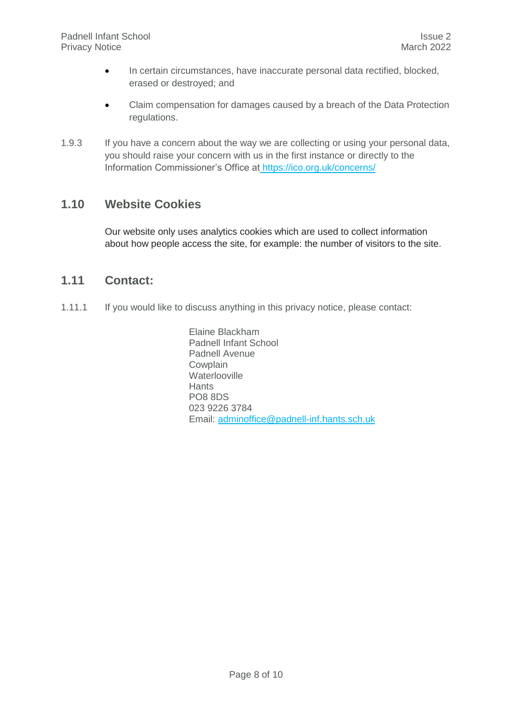- In certain circumstances, have inaccurate personal data rectified, blocked, erased or destroyed; and
- Claim compensation for damages caused by a breach of the Data Protection regulations.
- 1.9.3 If you have a concern about the way we are collecting or using your personal data, you should raise your concern with us in the first instance or directly to the Information Commissioner's Office at <https://ico.org.uk/concerns/>

#### **1.10 Website Cookies**

Our website only uses analytics cookies which are used to collect information about how people access the site, for example: the number of visitors to the site.

#### <span id="page-7-0"></span>**1.11 Contact:**

1.11.1 If you would like to discuss anything in this privacy notice, please contact:

Elaine Blackham Padnell Infant School Padnell Avenue Cowplain **Waterlooville Hants** PO8 8DS 023 9226 3784 Email: [adminoffice@padnell-inf.hants.sch.uk](mailto:adminoffice@padnell-inf.hants.sch.uk)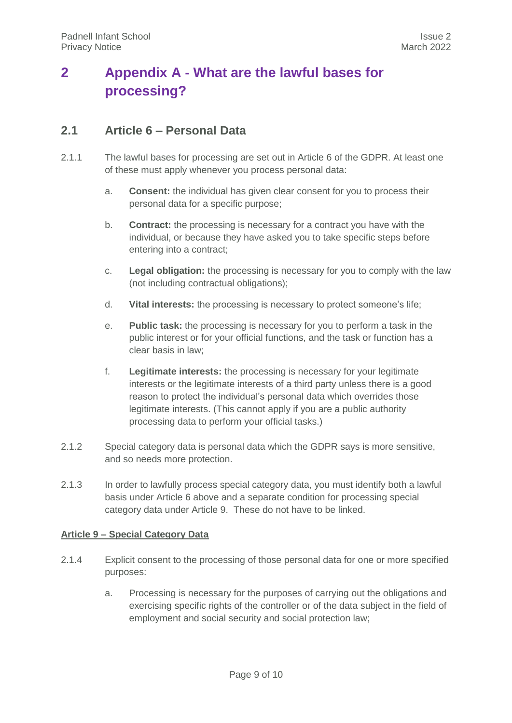## <span id="page-8-0"></span>**2 Appendix A - What are the lawful bases for processing?**

#### <span id="page-8-1"></span>**2.1 Article 6 – Personal Data**

- 2.1.1 The lawful bases for processing are set out in Article 6 of the GDPR. At least one of these must apply whenever you process personal data:
	- a. **Consent:** the individual has given clear consent for you to process their personal data for a specific purpose;
	- b. **Contract:** the processing is necessary for a contract you have with the individual, or because they have asked you to take specific steps before entering into a contract;
	- c. **Legal obligation:** the processing is necessary for you to comply with the law (not including contractual obligations);
	- d. **Vital interests:** the processing is necessary to protect someone's life;
	- e. **Public task:** the processing is necessary for you to perform a task in the public interest or for your official functions, and the task or function has a clear basis in law;
	- f. **Legitimate interests:** the processing is necessary for your legitimate interests or the legitimate interests of a third party unless there is a good reason to protect the individual's personal data which overrides those legitimate interests. (This cannot apply if you are a public authority processing data to perform your official tasks.)
- 2.1.2 Special category data is personal data which the GDPR says is more sensitive, and so needs more protection.
- 2.1.3 In order to lawfully process special category data, you must identify both a lawful basis under Article 6 above and a separate condition for processing special category data under Article 9. These do not have to be linked.

#### **Article 9 – Special Category Data**

- 2.1.4 Explicit consent to the processing of those personal data for one or more specified purposes:
	- a. Processing is necessary for the purposes of carrying out the obligations and exercising specific rights of the controller or of the data subject in the field of employment and social security and social protection law;